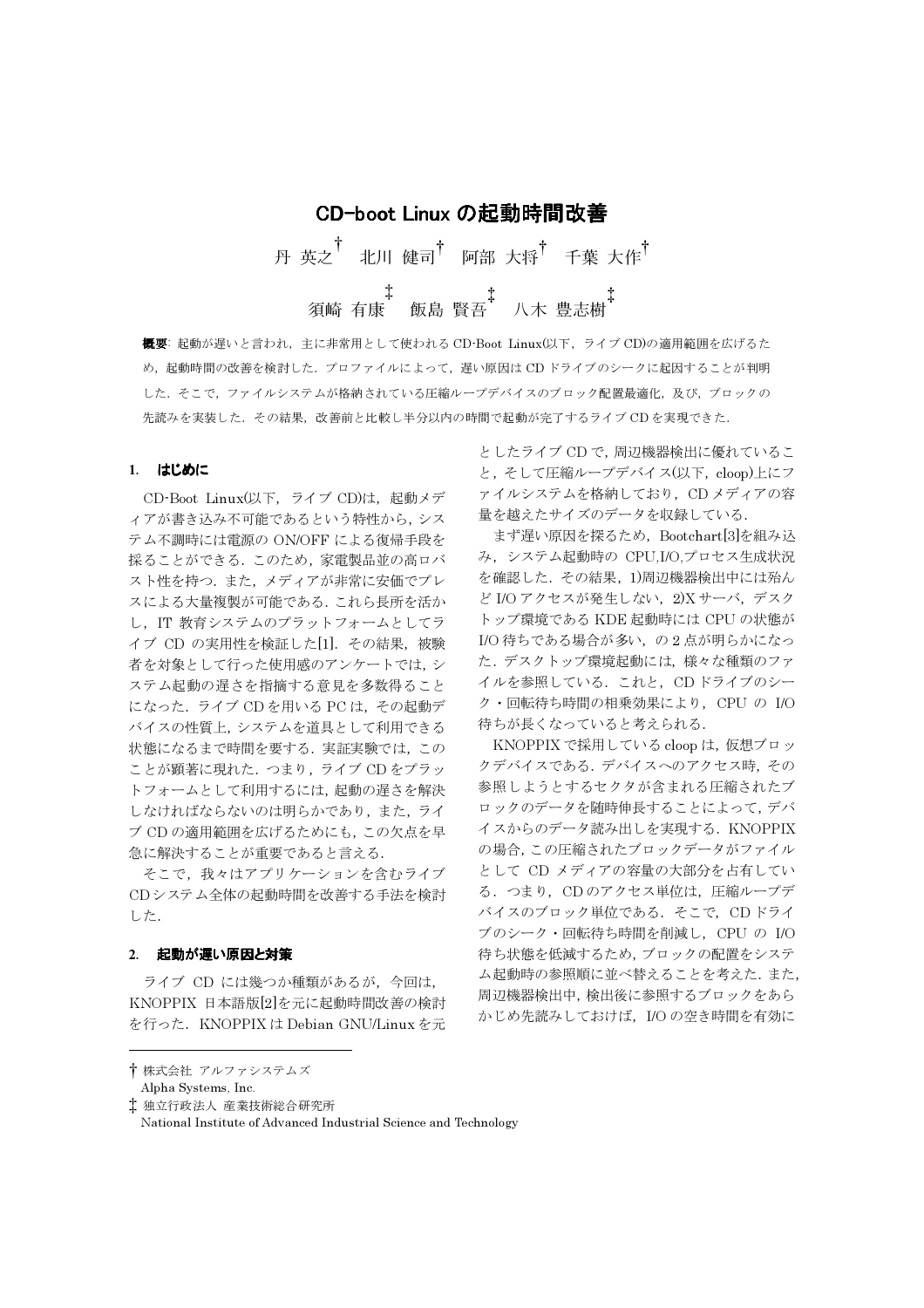CD-boot Linux の起動時間改善 丹 英之<sup>†</sup> 北川 健司<sup>†</sup> 阿部 大将<sup>†</sup> 千葉 大作<sup>†</sup> 

概要:起動が遅いと言われ、主に非常用として使われる CD Boot Linux(以下、ライブ CD)の適用範囲を広げるた め、起動時間の改善を検討した. プロファイルによって、遅い原因はCDドライブのシークに起因することが判明 した。そこで、ファイルシステムが格納されている圧縮ループデバイスのブロック配置最適化、及び、ブロックの 先読みを実装した. その結果、改善前と比較し半分以内の時間で起動が完了するライブ CDを実現できた.

#### 1. はじめに

CD-Boot Linux(以下, ライブ CD)は、起動メデ ィアが書き込み不可能であるという特性から、シス テム不調時には電源の ON/OFF による復帰手段を 採ることができる. このため、家電製品並の高ロバ スト性を持つ. また、メディアが非常に安価でプレ スによる大量複製が可能である. これら長所を活か し、IT 教育システムのプラットフォームとしてラ イブ CD の実用性を検証した[1]. その結果, 被験 者を対象として行った使用感のアンケートでは、シ ステム起動の遅さを指摘する意見を多数得ること になった. ライブ CD を用いる PC は、その起動デ バイスの性質上, システムを道具として利用できる 状態になるまで時間を要する. 実証実験では、この ことが顕著に現れた. つまり, ライブ CD をプラッ トフォームとして利用するには、起動の遅さを解決 しなければならないのは明らかであり、また、ライ ブ CD の適用範囲を広げるためにも、この欠点を早 急に解決することが重要であると言える.

そこで、我々はアプリケーションを含むライブ CDシステム全体の起動時間を改善する手法を検討 した.

#### 2. 起動が遅い原因と対策

ライブ CD には幾つか種類があるが、今回は、 KNOPPIX 日本語版[2]を元に起動時間改善の検討 を行った. KNOPPIX は Debian GNU/Linux を元

としたライブ CD で、周辺機器検出に優れているこ と、そして圧縮ループデバイス(以下、cloop)上にフ ァイルシステムを格納しており、CDメディアの容 量を越えたサイズのデータを収録している.

まず遅い原因を探るため、Bootchart[3]を組み込 み、システム起動時の CPU,I/O,プロセス生成状況 を確認した. その結果, 1)周辺機器検出中には殆ん ど I/O アクセスが発生しない, 2)X サーバ, デスク トップ環境である KDE 起動時には CPU の状態が I/O 待ちである場合が多い、の2点が明らかになっ た. デスクトップ環境起動には、様々な種類のファ イルを参照している. これと, CD ドライブのシー ク・回転待ち時間の相乗効果により、CPU の I/O 待ちが長くなっていると考えられる.

KNOPPIX で採用している cloop は、仮想ブロッ クデバイスである. デバイスへのアクセス時, その 参照しようとするセクタが含まれる圧縮されたブ ロックのデータを随時伸長することによって、デバ イスからのデータ読み出しを実現する. KNOPPIX の場合、この圧縮されたブロックデータがファイル として CD メディアの容量の大部分を占有してい る. つまり, CDのアクセス単位は、圧縮ループデ バイスのブロック単位である. そこで, CD ドライ ブのシーク・回転待ち時間を削減し、CPUの I/O 待ち状態を低減するため, ブロックの配置をシステ ム起動時の参照順に並べ替えることを考えた. また, 周辺機器検出中,検出後に参照するブロックをあら かじめ先読みしておけば、I/Oの空き時間を有効に

<sup>†</sup>株式会社 アルファシステムズ

Alpha Systems, Inc.

<sup>‡</sup> 独立行政法人 産業技術総合研究所

National Institute of Advanced Industrial Science and Technology